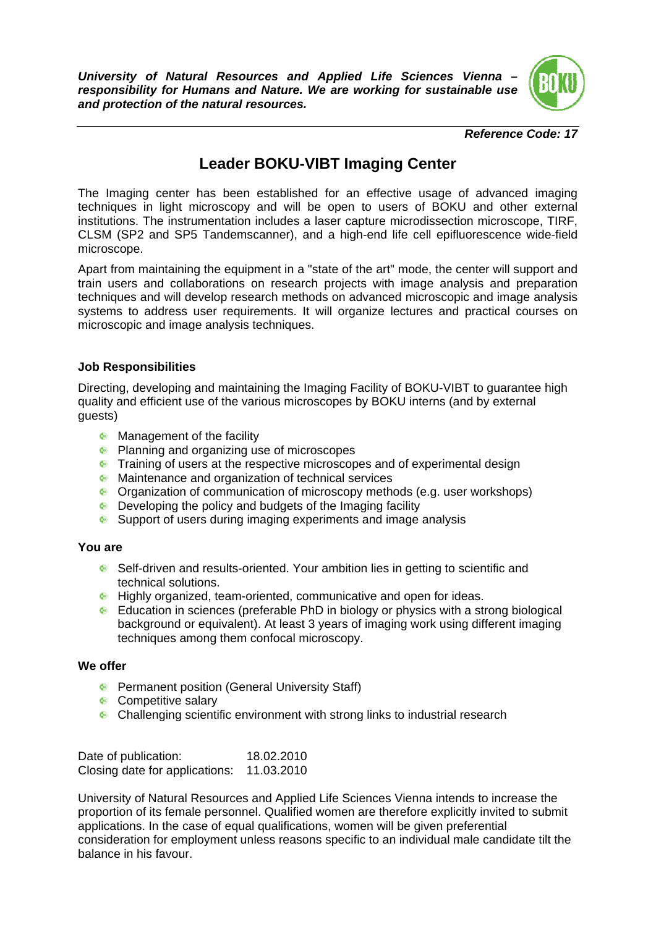*University of Natural Resources and Applied Life Sciences Vienna – responsibility for Humans and Nature. We are working for sustainable use and protection of the natural resources.* 



*Reference Code: 17* 

## **Leader BOKU-VIBT Imaging Center**

The Imaging center has been established for an effective usage of advanced imaging techniques in light microscopy and will be open to users of BOKU and other external institutions. The instrumentation includes a laser capture microdissection microscope, TIRF, CLSM (SP2 and SP5 Tandemscanner), and a high-end life cell epifluorescence wide-field microscope.

Apart from maintaining the equipment in a "state of the art" mode, the center will support and train users and collaborations on research projects with image analysis and preparation techniques and will develop research methods on advanced microscopic and image analysis systems to address user requirements. It will organize lectures and practical courses on microscopic and image analysis techniques.

## **Job Responsibilities**

Directing, developing and maintaining the Imaging Facility of BOKU-VIBT to guarantee high quality and efficient use of the various microscopes by BOKU interns (and by external guests)

- **Management of the facility**
- **Planning and organizing use of microscopes**
- **•** Training of users at the respective microscopes and of experimental design
- **Maintenance and organization of technical services**
- Organization of communication of microscopy methods (e.g. user workshops)
- **•** Developing the policy and budgets of the Imaging facility
- Support of users during imaging experiments and image analysis

## **You are**

- Self-driven and results-oriented. Your ambition lies in getting to scientific and technical solutions.
- **•** Highly organized, team-oriented, communicative and open for ideas.
- Education in sciences (preferable PhD in biology or physics with a strong biological background or equivalent). At least 3 years of imaging work using different imaging techniques among them confocal microscopy.

## **We offer**

- **•** Permanent position (General University Staff)
- **Competitive salary**
- **Challenging scientific environment with strong links to industrial research**

Date of publication: 18.02.2010 Closing date for applications: 11.03.2010

University of Natural Resources and Applied Life Sciences Vienna intends to increase the proportion of its female personnel. Qualified women are therefore explicitly invited to submit applications. In the case of equal qualifications, women will be given preferential consideration for employment unless reasons specific to an individual male candidate tilt the balance in his favour.